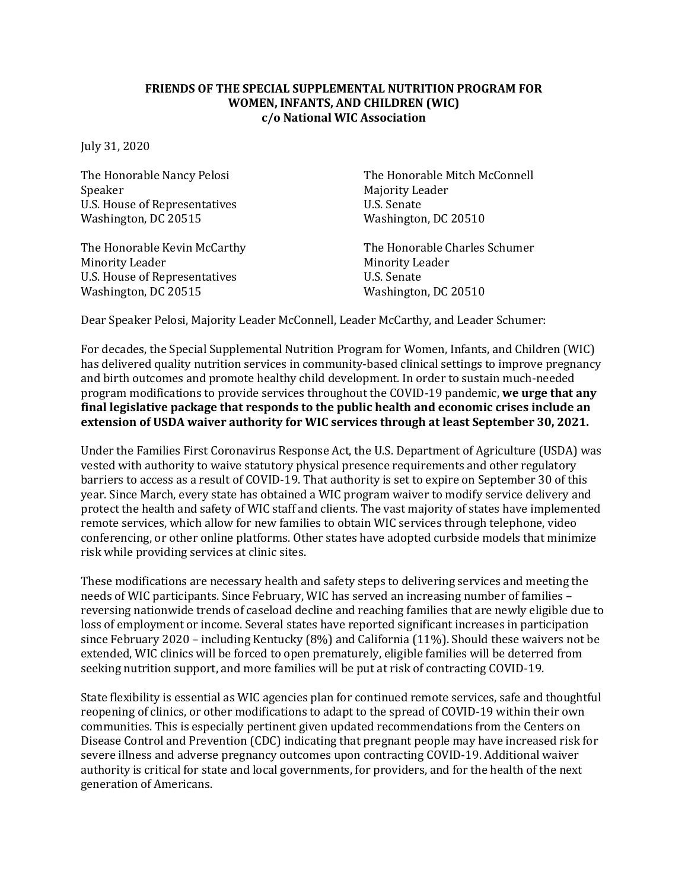## **FRIENDS OF THE SPECIAL SUPPLEMENTAL NUTRITION PROGRAM FOR WOMEN, INFANTS, AND CHILDREN (WIC) c/o National WIC Association**

July 31, 2020

Speaker Majority Leader U.S. House of Representatives U.S. Senate Washington, DC 20515 Washington, DC 20510

Minority Leader Minority Leader U.S. House of Representatives U.S. Senate Washington, DC 20515 Washington, DC 20510

The Honorable Nancy Pelosi The Honorable Mitch McConnell

The Honorable Kevin McCarthy The Honorable Charles Schumer

Dear Speaker Pelosi, Majority Leader McConnell, Leader McCarthy, and Leader Schumer:

For decades, the Special Supplemental Nutrition Program for Women, Infants, and Children (WIC) has delivered quality nutrition services in community-based clinical settings to improve pregnancy and birth outcomes and promote healthy child development. In order to sustain much-needed program modifications to provide services throughout the COVID-19 pandemic, **we urge that any final legislative package that responds to the public health and economic crises include an extension of USDA waiver authority for WIC services through at least September 30, 2021.**

Under the Families First Coronavirus Response Act, the U.S. Department of Agriculture (USDA) was vested with authority to waive statutory physical presence requirements and other regulatory barriers to access as a result of COVID-19. That authority is set to expire on September 30 of this year. Since March, every state has obtained a WIC program waiver to modify service delivery and protect the health and safety of WIC staff and clients. The vast majority of states have implemented remote services, which allow for new families to obtain WIC services through telephone, video conferencing, or other online platforms. Other states have adopted curbside models that minimize risk while providing services at clinic sites.

These modifications are necessary health and safety steps to delivering services and meeting the needs of WIC participants. Since February, WIC has served an increasing number of families – reversing nationwide trends of caseload decline and reaching families that are newly eligible due to loss of employment or income. Several states have reported significant increases in participation since February 2020 – including Kentucky (8%) and California (11%). Should these waivers not be extended, WIC clinics will be forced to open prematurely, eligible families will be deterred from seeking nutrition support, and more families will be put at risk of contracting COVID-19.

State flexibility is essential as WIC agencies plan for continued remote services, safe and thoughtful reopening of clinics, or other modifications to adapt to the spread of COVID-19 within their own communities. This is especially pertinent given updated recommendations from the Centers on Disease Control and Prevention (CDC) indicating that pregnant people may have increased risk for severe illness and adverse pregnancy outcomes upon contracting COVID-19. Additional waiver authority is critical for state and local governments, for providers, and for the health of the next generation of Americans.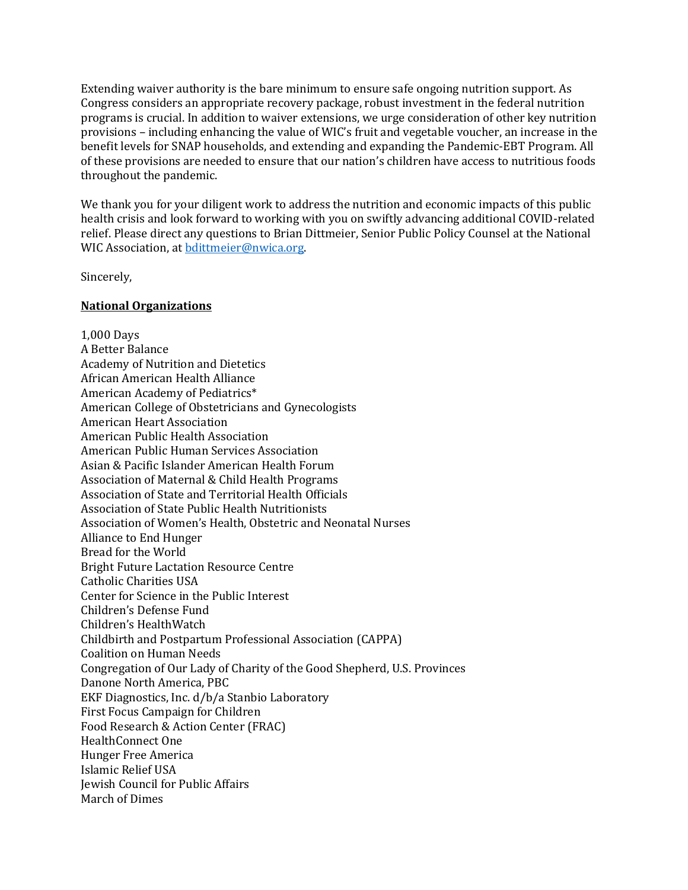Extending waiver authority is the bare minimum to ensure safe ongoing nutrition support. As Congress considers an appropriate recovery package, robust investment in the federal nutrition programs is crucial. In addition to waiver extensions, we urge consideration of other key nutrition provisions – including enhancing the value of WIC's fruit and vegetable voucher, an increase in the benefit levels for SNAP households, and extending and expanding the Pandemic-EBT Program. All of these provisions are needed to ensure that our nation's children have access to nutritious foods throughout the pandemic.

We thank you for your diligent work to address the nutrition and economic impacts of this public health crisis and look forward to working with you on swiftly advancing additional COVID-related relief. Please direct any questions to Brian Dittmeier, Senior Public Policy Counsel at the National WIC Association, a[t bdittmeier@nwica.org.](mailto:bdittmeier@nwica.org)

Sincerely,

## **National Organizations**

1,000 Days A Better Balance Academy of Nutrition and Dietetics African American Health Alliance American Academy of Pediatrics\* American College of Obstetricians and Gynecologists American Heart Association American Public Health Association American Public Human Services Association Asian & Pacific Islander American Health Forum Association of Maternal & Child Health Programs Association of State and Territorial Health Officials Association of State Public Health Nutritionists Association of Women's Health, Obstetric and Neonatal Nurses Alliance to End Hunger Bread for the World Bright Future Lactation Resource Centre Catholic Charities USA Center for Science in the Public Interest Children's Defense Fund Children's HealthWatch Childbirth and Postpartum Professional Association (CAPPA) Coalition on Human Needs Congregation of Our Lady of Charity of the Good Shepherd, U.S. Provinces Danone North America, PBC EKF Diagnostics, Inc. d/b/a Stanbio Laboratory First Focus Campaign for Children Food Research & Action Center (FRAC) HealthConnect One Hunger Free America Islamic Relief USA Jewish Council for Public Affairs March of Dimes